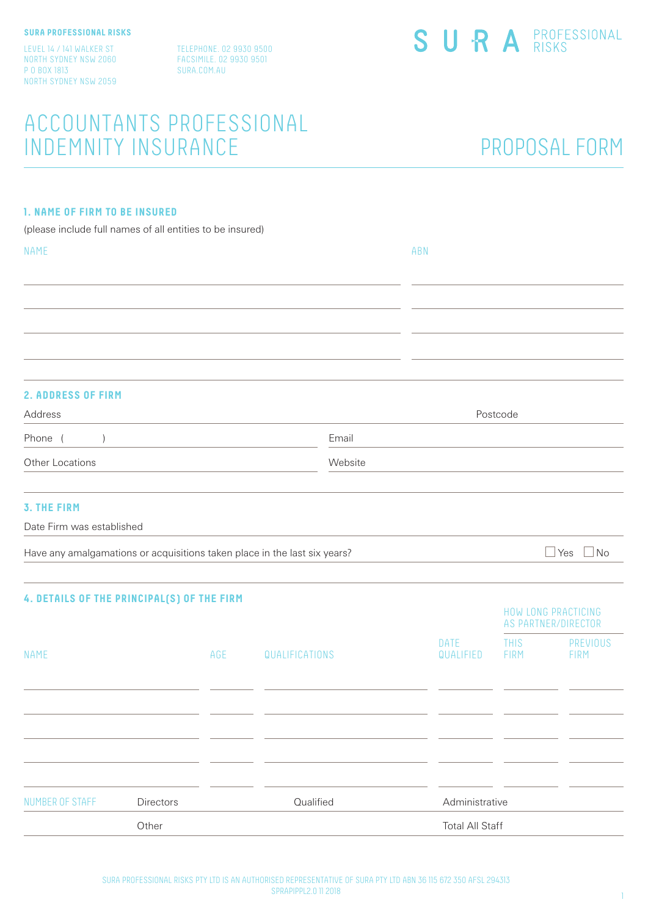LEVEL 14 / 141 WALKER ST NORTH SYDNEY NSW 2060 P O BOX 1813 NORTH SYDNEY NSW 2059

TELEPHONE. 02 9930 9500 FACSIMILE. 02 9930 9501 SURA.COM.AU

## ACCOUNTANTS PROFESSIONAL INDEMNITY INSURANCE

## PROPOSAL FORM

### **1. NAME OF FIRM TO BE INSURED**

(please include full names of all entities to be insured)

| NAME                                                                      |     |                |       | ABN                      |                            |                                            |
|---------------------------------------------------------------------------|-----|----------------|-------|--------------------------|----------------------------|--------------------------------------------|
|                                                                           |     |                |       |                          |                            |                                            |
|                                                                           |     |                |       |                          |                            |                                            |
|                                                                           |     |                |       |                          |                            |                                            |
|                                                                           |     |                |       |                          |                            |                                            |
| <b>2. ADDRESS OF FIRM</b>                                                 |     |                |       |                          |                            |                                            |
| Address                                                                   |     |                |       |                          | Postcode                   |                                            |
| Phone (<br>$\left( \right)$                                               |     |                | Email |                          |                            |                                            |
| Other Locations<br>Website                                                |     |                |       |                          |                            |                                            |
| <b>3. THE FIRM</b><br>Date Firm was established                           |     |                |       |                          |                            |                                            |
| Have any amalgamations or acquisitions taken place in the last six years? |     |                |       |                          |                            | $\Box$ Yes<br>$\Box$ No                    |
| 4. DETAILS OF THE PRINCIPAL(S) OF THE FIRM                                |     |                |       |                          |                            | HOW LONG PRACTICING<br>AS PARTNER/DIRECTOR |
| NAME                                                                      | AGE | QUALIFICATIONS |       | <b>DATE</b><br>QUALIFIED | <b>THIS</b><br><b>FIRM</b> | PREVIOUS<br><b>FIRM</b>                    |
|                                                                           |     |                |       |                          |                            |                                            |
|                                                                           |     |                |       |                          |                            |                                            |
|                                                                           |     |                |       |                          |                            |                                            |
|                                                                           |     |                |       |                          |                            |                                            |

Other Total All Staff

NUMBER OF STAFF Directors Cualified Administrative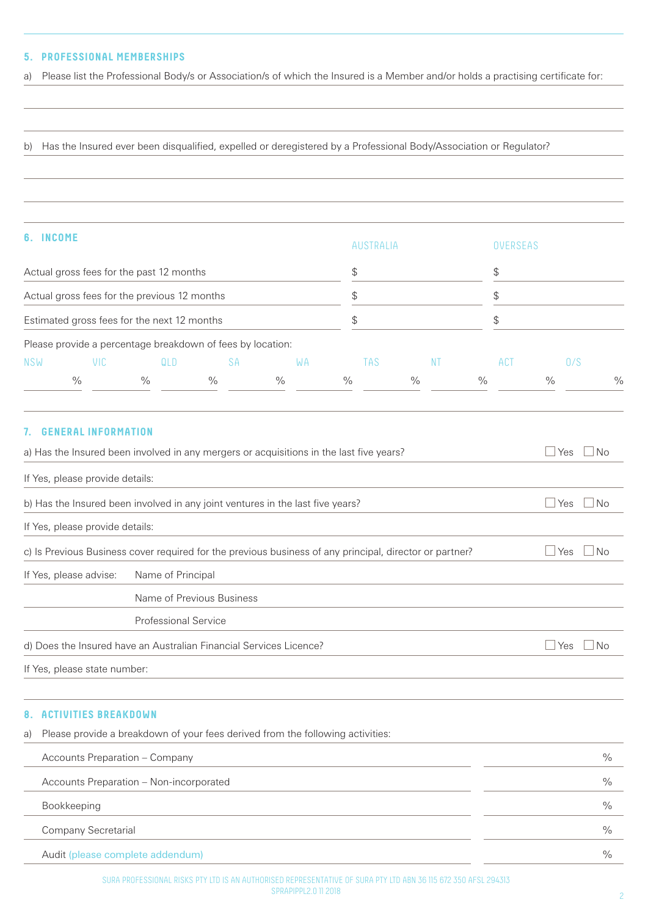### **5. PROFESSIONAL MEMBERSHIPS**

a) Please list the Professional Body/s or Association/s of which the Insured is a Member and/or holds a practising certificate for:

b) Has the Insured ever been disqualified, expelled or deregistered by a Professional Body/Association or Regulator?

| 6. INCOME                                    |      |                                                            |               | AUSTRALIA |                | <b>OVERSEAS</b> |               |               |               |
|----------------------------------------------|------|------------------------------------------------------------|---------------|-----------|----------------|-----------------|---------------|---------------|---------------|
| Actual gross fees for the past 12 months     |      |                                                            |               |           | \$<br>\$<br>\$ |                 | \$            | ъ             |               |
| Actual gross fees for the previous 12 months |      |                                                            |               |           |                |                 |               |               |               |
| Estimated gross fees for the next 12 months  |      |                                                            | \$            |           |                |                 |               |               |               |
|                                              |      | Please provide a percentage breakdown of fees by location: |               |           |                |                 |               |               |               |
| <b>NSW</b>                                   | VIC. | QLD                                                        | <b>SA</b>     | WA        | TAS            | -NT             | ACT           | 0/S           |               |
|                                              | $\%$ | $\%$                                                       | $\frac{0}{0}$ | $\%$      | $\frac{0}{0}$  | $\frac{0}{0}$   | $\frac{0}{0}$ | $\frac{0}{0}$ | $\frac{0}{c}$ |

| 7. GENERAL INFORMATION                                                                  |                                                                                                         |                   |
|-----------------------------------------------------------------------------------------|---------------------------------------------------------------------------------------------------------|-------------------|
| a) Has the Insured been involved in any mergers or acquisitions in the last five years? | Yes<br>No.                                                                                              |                   |
| If Yes, please provide details:                                                         |                                                                                                         |                   |
|                                                                                         | b) Has the Insured been involved in any joint ventures in the last five years?                          | <b>Yes</b><br>No. |
| If Yes, please provide details:                                                         |                                                                                                         |                   |
|                                                                                         | c) Is Previous Business cover required for the previous business of any principal, director or partner? | Yes<br>No         |
| If Yes, please advise:                                                                  | Name of Principal                                                                                       |                   |
|                                                                                         | Name of Previous Business                                                                               |                   |
|                                                                                         | Professional Service                                                                                    |                   |
|                                                                                         | d) Does the Insured have an Australian Financial Services Licence?                                      | No<br>Yes         |
| If Yes, please state number:                                                            |                                                                                                         |                   |

#### **8. ACTIVITIES BREAKDOWN**

a) Please provide a breakdown of your fees derived from the following activities: Accounts Preparation – Company  $\%$ Accounts Preparation – Non-incorporated % Bookkeeping  $\%$ Company Secretarial  $\%$ 

Audit (please complete addendum)  $\%$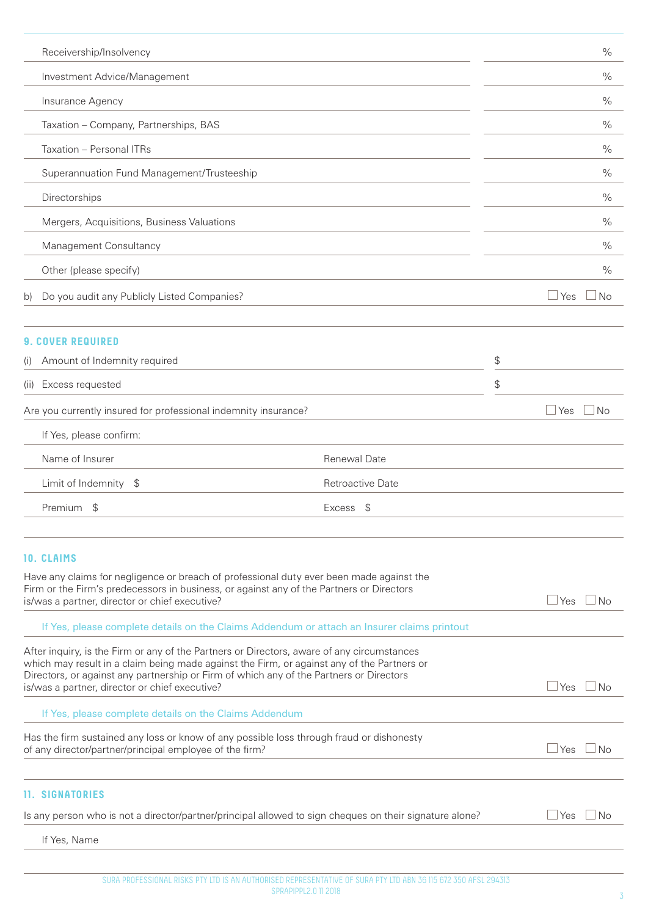| Receivership/Insolvency                                                                                                                                                                                                                                                                                                               | $\frac{0}{0}$    |    |               |               |
|---------------------------------------------------------------------------------------------------------------------------------------------------------------------------------------------------------------------------------------------------------------------------------------------------------------------------------------|------------------|----|---------------|---------------|
| Investment Advice/Management                                                                                                                                                                                                                                                                                                          |                  |    | $\frac{0}{0}$ |               |
| Insurance Agency                                                                                                                                                                                                                                                                                                                      |                  |    |               | $\frac{0}{0}$ |
| Taxation - Company, Partnerships, BAS                                                                                                                                                                                                                                                                                                 |                  |    | $\frac{0}{0}$ |               |
| Taxation - Personal ITRs                                                                                                                                                                                                                                                                                                              |                  |    |               | $\frac{0}{0}$ |
| Superannuation Fund Management/Trusteeship                                                                                                                                                                                                                                                                                            |                  |    |               | $\frac{0}{0}$ |
| Directorships                                                                                                                                                                                                                                                                                                                         |                  |    |               | $\frac{0}{0}$ |
| Mergers, Acquisitions, Business Valuations                                                                                                                                                                                                                                                                                            |                  |    |               | $\frac{0}{0}$ |
| Management Consultancy                                                                                                                                                                                                                                                                                                                |                  |    |               | $\frac{0}{0}$ |
| Other (please specify)                                                                                                                                                                                                                                                                                                                |                  |    |               | $\frac{0}{0}$ |
| Do you audit any Publicly Listed Companies?<br>b)                                                                                                                                                                                                                                                                                     |                  |    | Yes           | No            |
| <b>9. COVER REQUIRED</b>                                                                                                                                                                                                                                                                                                              |                  |    |               |               |
| Amount of Indemnity required<br>(1)                                                                                                                                                                                                                                                                                                   |                  | \$ |               |               |
| Excess requested<br>(11)                                                                                                                                                                                                                                                                                                              |                  | \$ |               |               |
| Are you currently insured for professional indemnity insurance?                                                                                                                                                                                                                                                                       |                  |    | $\Box$ Yes    | No            |
| If Yes, please confirm:                                                                                                                                                                                                                                                                                                               |                  |    |               |               |
| Name of Insurer                                                                                                                                                                                                                                                                                                                       | Renewal Date     |    |               |               |
| Limit of Indemnity \$                                                                                                                                                                                                                                                                                                                 | Retroactive Date |    |               |               |
| Premium<br>\$                                                                                                                                                                                                                                                                                                                         | Excess<br>\$     |    |               |               |
| <b>10. CLAIMS</b><br>Have any claims for negligence or breach of professional duty ever been made against the<br>Firm or the Firm's predecessors in business, or against any of the Partners or Directors<br>is/was a partner, director or chief executive?                                                                           |                  |    | ⊥Yes          | No            |
| If Yes, please complete details on the Claims Addendum or attach an Insurer claims printout                                                                                                                                                                                                                                           |                  |    |               |               |
| After inquiry, is the Firm or any of the Partners or Directors, aware of any circumstances<br>which may result in a claim being made against the Firm, or against any of the Partners or<br>Directors, or against any partnership or Firm of which any of the Partners or Directors<br>is/was a partner, director or chief executive? |                  |    | Yes           | ⊥No           |
| If Yes, please complete details on the Claims Addendum                                                                                                                                                                                                                                                                                |                  |    |               |               |
| Has the firm sustained any loss or know of any possible loss through fraud or dishonesty<br>of any director/partner/principal employee of the firm?                                                                                                                                                                                   |                  |    | Yes           | No            |
| <b>11. SIGNATORIES</b>                                                                                                                                                                                                                                                                                                                |                  |    |               |               |
| Is any person who is not a director/partner/principal allowed to sign cheques on their signature alone?                                                                                                                                                                                                                               |                  |    | Yes           | No            |
| If Yes, Name                                                                                                                                                                                                                                                                                                                          |                  |    |               |               |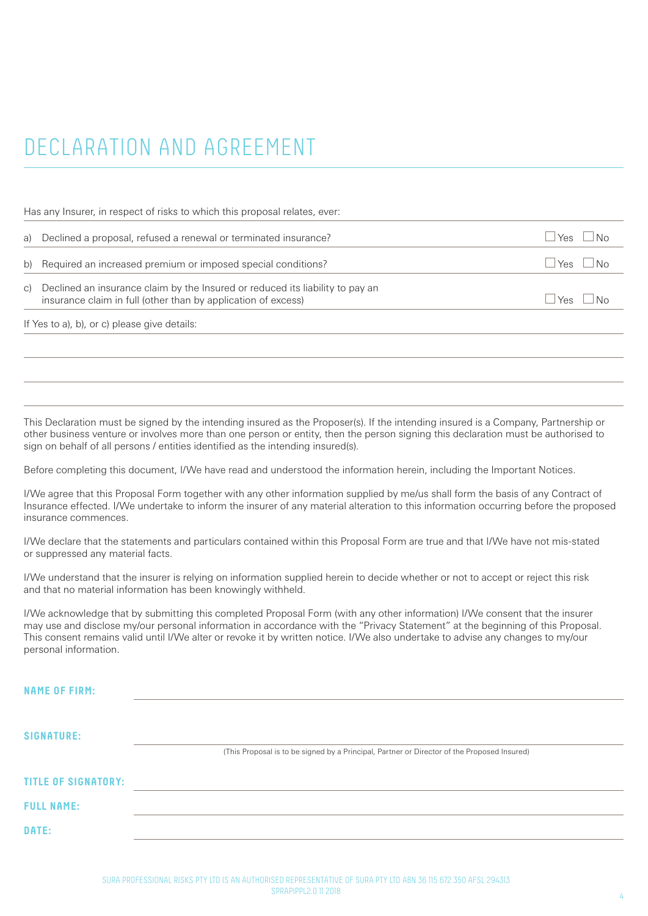# DECLARATION AND AGREEMENT

Has any Insurer, in respect of risks to which this proposal relates, ever:

| a) Declined a proposal, refused a renewal or terminated insurance?                                                                                | l Yes                         | $\overline{\phantom{a}}$ No |
|---------------------------------------------------------------------------------------------------------------------------------------------------|-------------------------------|-----------------------------|
| b) Required an increased premium or imposed special conditions?                                                                                   | $Y_{\text{ES}}$ $ N_{\Omega}$ |                             |
| c) Declined an insurance claim by the Insured or reduced its liability to pay an<br>insurance claim in full (other than by application of excess) | $Y_{\text{BS}}$ $ N_{\Omega}$ |                             |

If Yes to a), b), or c) please give details:

This Declaration must be signed by the intending insured as the Proposer(s). If the intending insured is a Company, Partnership or other business venture or involves more than one person or entity, then the person signing this declaration must be authorised to sign on behalf of all persons / entities identified as the intending insured(s).

Before completing this document, I/We have read and understood the information herein, including the Important Notices.

I/We agree that this Proposal Form together with any other information supplied by me/us shall form the basis of any Contract of Insurance effected. I/We undertake to inform the insurer of any material alteration to this information occurring before the proposed insurance commences.

I/We declare that the statements and particulars contained within this Proposal Form are true and that I/We have not mis-stated or suppressed any material facts.

I/We understand that the insurer is relying on information supplied herein to decide whether or not to accept or reject this risk and that no material information has been knowingly withheld.

I/We acknowledge that by submitting this completed Proposal Form (with any other information) I/We consent that the insurer may use and disclose my/our personal information in accordance with the "Privacy Statement" at the beginning of this Proposal. This consent remains valid until I/We alter or revoke it by written notice. I/We also undertake to advise any changes to my/our personal information.

| <b>NAME OF FIRM:</b>       |                                                                                             |
|----------------------------|---------------------------------------------------------------------------------------------|
|                            |                                                                                             |
| <b>SIGNATURE:</b>          |                                                                                             |
|                            | (This Proposal is to be signed by a Principal, Partner or Director of the Proposed Insured) |
| <b>TITLE OF SIGNATORY:</b> |                                                                                             |
| <b>FULL NAME:</b>          |                                                                                             |
| DATE:                      |                                                                                             |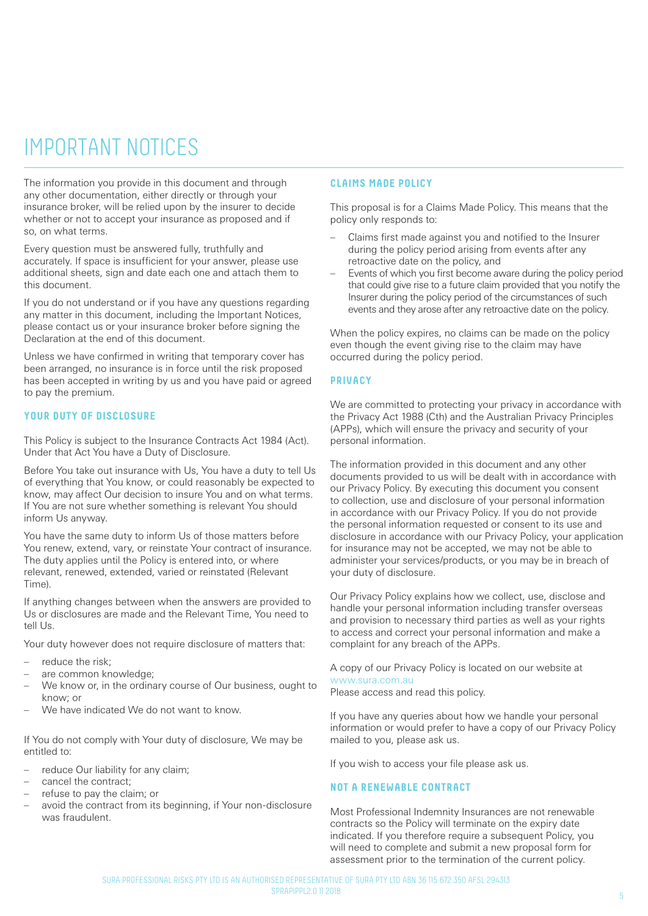## IMPORTANT NOTICES

The information you provide in this document and through any other documentation, either directly or through your insurance broker, will be relied upon by the insurer to decide whether or not to accept your insurance as proposed and if so, on what terms.

Every question must be answered fully, truthfully and accurately. If space is insufficient for your answer, please use additional sheets, sign and date each one and attach them to this document.

If you do not understand or if you have any questions regarding any matter in this document, including the Important Notices, please contact us or your insurance broker before signing the Declaration at the end of this document.

Unless we have confirmed in writing that temporary cover has been arranged, no insurance is in force until the risk proposed has been accepted in writing by us and you have paid or agreed to pay the premium.

#### **YOUR DUTY OF DISCLOSURE**

This Policy is subject to the Insurance Contracts Act 1984 (Act). Under that Act You have a Duty of Disclosure.

Before You take out insurance with Us, You have a duty to tell Us of everything that You know, or could reasonably be expected to know, may affect Our decision to insure You and on what terms. If You are not sure whether something is relevant You should inform Us anyway.

You have the same duty to inform Us of those matters before You renew, extend, vary, or reinstate Your contract of insurance. The duty applies until the Policy is entered into, or where relevant, renewed, extended, varied or reinstated (Relevant Time).

If anything changes between when the answers are provided to Us or disclosures are made and the Relevant Time, You need to tell Us.

Your duty however does not require disclosure of matters that:

- reduce the risk:
- are common knowledge;
- We know or, in the ordinary course of Our business, ought to know; or
- We have indicated We do not want to know.

If You do not comply with Your duty of disclosure, We may be entitled to:

- reduce Our liability for any claim;
- cancel the contract;
- refuse to pay the claim; or
- avoid the contract from its beginning, if Your non-disclosure was fraudulent.

#### **CLAIMS MADE POLICY**

This proposal is for a Claims Made Policy. This means that the policy only responds to:

- Claims first made against you and notified to the Insurer during the policy period arising from events after any retroactive date on the policy, and
- Events of which you first become aware during the policy period that could give rise to a future claim provided that you notify the Insurer during the policy period of the circumstances of such events and they arose after any retroactive date on the policy.

When the policy expires, no claims can be made on the policy even though the event giving rise to the claim may have occurred during the policy period.

#### **PRIVACY**

We are committed to protecting your privacy in accordance with the Privacy Act 1988 (Cth) and the Australian Privacy Principles (APPs), which will ensure the privacy and security of your personal information.

The information provided in this document and any other documents provided to us will be dealt with in accordance with our Privacy Policy. By executing this document you consent to collection, use and disclosure of your personal information in accordance with our Privacy Policy. If you do not provide the personal information requested or consent to its use and disclosure in accordance with our Privacy Policy, your application for insurance may not be accepted, we may not be able to administer your services/products, or you may be in breach of your duty of disclosure.

Our Privacy Policy explains how we collect, use, disclose and handle your personal information including transfer overseas and provision to necessary third parties as well as your rights to access and correct your personal information and make a complaint for any breach of the APPs.

A copy of our Privacy Policy is located on our website at www.sura.com.au

Please access and read this policy.

If you have any queries about how we handle your personal information or would prefer to have a copy of our Privacy Policy mailed to you, please ask us.

If you wish to access your file please ask us.

#### **NOT A RENEWABLE CONTRACT**

Most Professional Indemnity Insurances are not renewable contracts so the Policy will terminate on the expiry date indicated. If you therefore require a subsequent Policy, you will need to complete and submit a new proposal form for assessment prior to the termination of the current policy.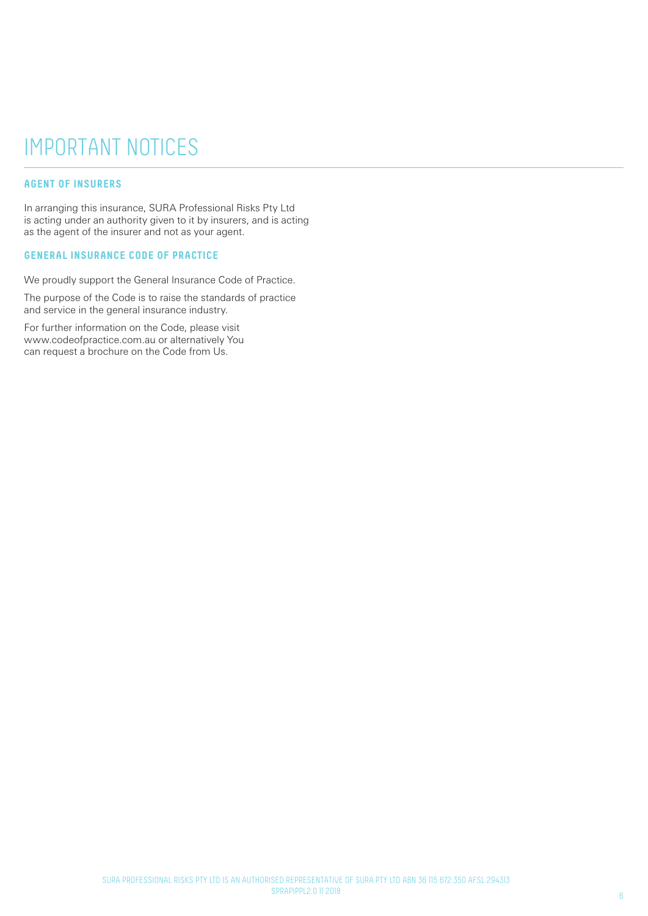## IMPORTANT NOTICES

### **AGENT OF INSURERS**

In arranging this insurance, SURA Professional Risks Pty Ltd is acting under an authority given to it by insurers, and is acting as the agent of the insurer and not as your agent.

#### **GENERAL INSURANCE CODE OF PRACTICE**

We proudly support the General Insurance Code of Practice.

The purpose of the Code is to raise the standards of practice and service in the general insurance industry.

For further information on the Code, please visit www.codeofpractice.com.au or alternatively You can request a brochure on the Code from Us.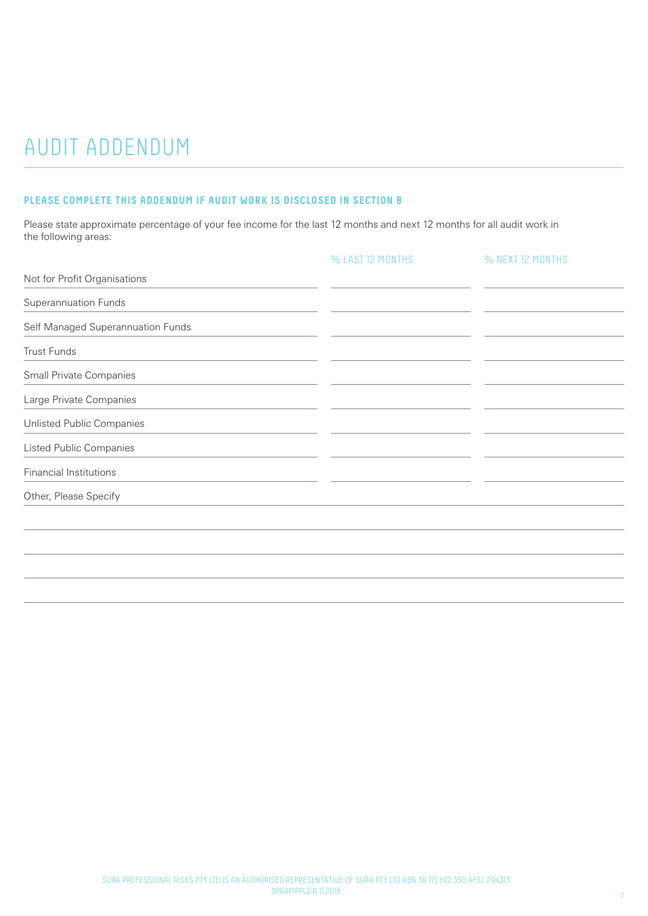# AUDIT ADDENDUM

### **PLEASE COMPLETE THIS ADDENDUM IF AUDIT WORK IS DISCLOSED IN SECTION 8**

Please state approximate percentage of your fee income for the last 12 months and next 12 months for all audit work in the following areas:

|                                   | % LAST 12 MONTHS | % NEXT 12 MONTHS |
|-----------------------------------|------------------|------------------|
| Not for Profit Organisations      |                  |                  |
| <b>Superannuation Funds</b>       |                  |                  |
| Self Managed Superannuation Funds |                  |                  |
| <b>Trust Funds</b>                |                  |                  |
| Small Private Companies           |                  |                  |
| Large Private Companies           |                  |                  |
| Unlisted Public Companies         |                  |                  |
| <b>Listed Public Companies</b>    |                  |                  |
| <b>Financial Institutions</b>     |                  |                  |
| Other, Please Specify             |                  |                  |
|                                   |                  |                  |
|                                   |                  |                  |
|                                   |                  |                  |
|                                   |                  |                  |